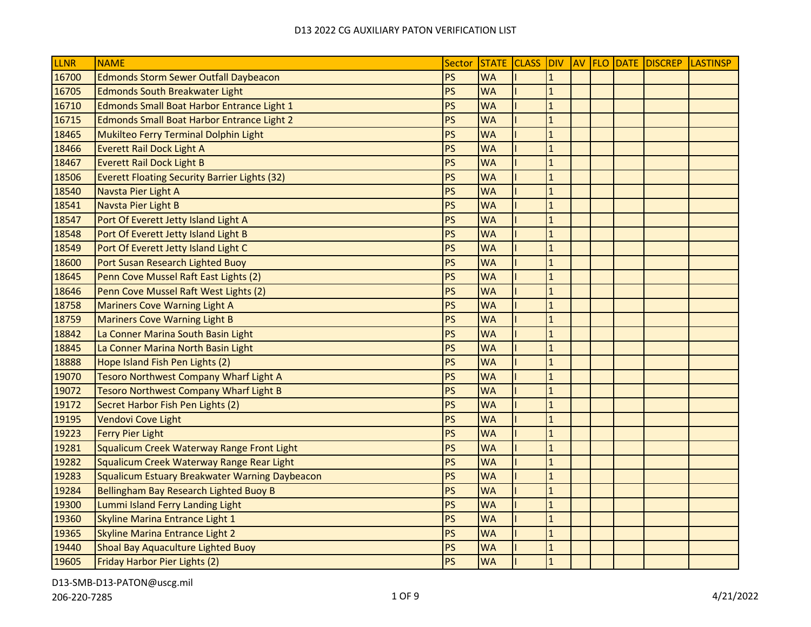| <b>LLNR</b> | <b>NAME</b>                                           | Sector    |           |                |  | STATE CLASS DIV AV FLO DATE DISCREP | <b>LASTINSP</b> |
|-------------|-------------------------------------------------------|-----------|-----------|----------------|--|-------------------------------------|-----------------|
| 16700       | <b>Edmonds Storm Sewer Outfall Daybeacon</b>          | <b>PS</b> | <b>WA</b> | $\mathbf{1}$   |  |                                     |                 |
| 16705       | <b>Edmonds South Breakwater Light</b>                 | <b>PS</b> | <b>WA</b> | $\overline{1}$ |  |                                     |                 |
| 16710       | <b>Edmonds Small Boat Harbor Entrance Light 1</b>     | <b>PS</b> | <b>WA</b> | $\mathbf{1}$   |  |                                     |                 |
| 16715       | <b>Edmonds Small Boat Harbor Entrance Light 2</b>     | <b>PS</b> | <b>WA</b> | $\mathbf{1}$   |  |                                     |                 |
| 18465       | Mukilteo Ferry Terminal Dolphin Light                 | PS        | <b>WA</b> | $\mathbf{1}$   |  |                                     |                 |
| 18466       | <b>Everett Rail Dock Light A</b>                      | <b>PS</b> | <b>WA</b> | $\mathbf{1}$   |  |                                     |                 |
| 18467       | <b>Everett Rail Dock Light B</b>                      | PS        | <b>WA</b> | $\mathbf{1}$   |  |                                     |                 |
| 18506       | <b>Everett Floating Security Barrier Lights (32)</b>  | <b>PS</b> | <b>WA</b> | $\mathbf{1}$   |  |                                     |                 |
| 18540       | Navsta Pier Light A                                   | <b>PS</b> | <b>WA</b> | $\overline{1}$ |  |                                     |                 |
| 18541       | Navsta Pier Light B                                   | PS        | <b>WA</b> | $\mathbf{1}$   |  |                                     |                 |
| 18547       | Port Of Everett Jetty Island Light A                  | <b>PS</b> | <b>WA</b> | $\mathbf{1}$   |  |                                     |                 |
| 18548       | Port Of Everett Jetty Island Light B                  | PS        | <b>WA</b> | $\mathbf{1}$   |  |                                     |                 |
| 18549       | Port Of Everett Jetty Island Light C                  | <b>PS</b> | <b>WA</b> | $\mathbf{1}$   |  |                                     |                 |
| 18600       | Port Susan Research Lighted Buoy                      | <b>PS</b> | <b>WA</b> | $\mathbf{1}$   |  |                                     |                 |
| 18645       | Penn Cove Mussel Raft East Lights (2)                 | <b>PS</b> | <b>WA</b> | $\overline{1}$ |  |                                     |                 |
| 18646       | Penn Cove Mussel Raft West Lights (2)                 | <b>PS</b> | <b>WA</b> | $\mathbf{1}$   |  |                                     |                 |
| 18758       | <b>Mariners Cove Warning Light A</b>                  | <b>PS</b> | <b>WA</b> | $\overline{1}$ |  |                                     |                 |
| 18759       | <b>Mariners Cove Warning Light B</b>                  | <b>PS</b> | <b>WA</b> | $\mathbf{1}$   |  |                                     |                 |
| 18842       | La Conner Marina South Basin Light                    | <b>PS</b> | <b>WA</b> | $\mathbf{1}$   |  |                                     |                 |
| 18845       | La Conner Marina North Basin Light                    | PS        | <b>WA</b> | $\mathbf{1}$   |  |                                     |                 |
| 18888       | Hope Island Fish Pen Lights (2)                       | <b>PS</b> | <b>WA</b> | $\mathbf{1}$   |  |                                     |                 |
| 19070       | <b>Tesoro Northwest Company Wharf Light A</b>         | PS        | <b>WA</b> | $\overline{1}$ |  |                                     |                 |
| 19072       | <b>Tesoro Northwest Company Wharf Light B</b>         | <b>PS</b> | <b>WA</b> | $\overline{1}$ |  |                                     |                 |
| 19172       | Secret Harbor Fish Pen Lights (2)                     | PS        | <b>WA</b> | $\mathbf{1}$   |  |                                     |                 |
| 19195       | <b>Vendovi Cove Light</b>                             | <b>PS</b> | <b>WA</b> | $\mathbf{1}$   |  |                                     |                 |
| 19223       | <b>Ferry Pier Light</b>                               | <b>PS</b> | <b>WA</b> | $\overline{1}$ |  |                                     |                 |
| 19281       | Squalicum Creek Waterway Range Front Light            | <b>PS</b> | <b>WA</b> | $\mathbf{1}$   |  |                                     |                 |
| 19282       | Squalicum Creek Waterway Range Rear Light             | PS        | <b>WA</b> | $\mathbf{1}$   |  |                                     |                 |
| 19283       | <b>Squalicum Estuary Breakwater Warning Daybeacon</b> | <b>PS</b> | <b>WA</b> | $\mathbf{1}$   |  |                                     |                 |
| 19284       | Bellingham Bay Research Lighted Buoy B                | <b>PS</b> | <b>WA</b> | $\mathbf{1}$   |  |                                     |                 |
| 19300       | Lummi Island Ferry Landing Light                      | PS        | <b>WA</b> | $\mathbf{1}$   |  |                                     |                 |
| 19360       | Skyline Marina Entrance Light 1                       | PS        | <b>WA</b> | $\mathbf{1}$   |  |                                     |                 |
| 19365       | <b>Skyline Marina Entrance Light 2</b>                | PS        | <b>WA</b> | $\mathbf{1}$   |  |                                     |                 |
| 19440       | Shoal Bay Aquaculture Lighted Buoy                    | <b>PS</b> | <b>WA</b> | $\overline{1}$ |  |                                     |                 |
| 19605       | Friday Harbor Pier Lights (2)                         | <b>PS</b> | <b>WA</b> | $\overline{1}$ |  |                                     |                 |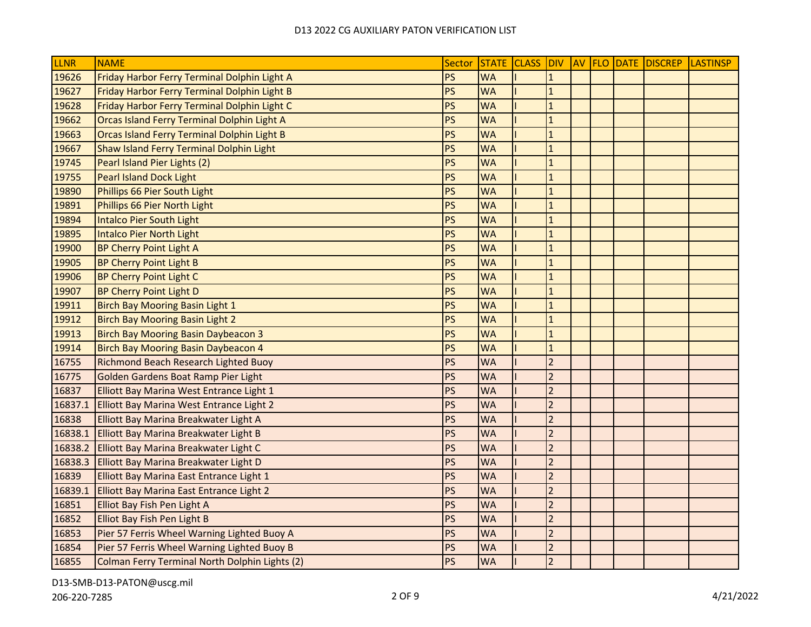| LLNR    | <b>NAME</b>                                    | Sector    | STATE CLASS DIV |                |  | AV FLO DATE DISCREP | <b>LASTINSP</b> |
|---------|------------------------------------------------|-----------|-----------------|----------------|--|---------------------|-----------------|
| 19626   | Friday Harbor Ferry Terminal Dolphin Light A   | PS        | <b>WA</b>       | $\mathbf{1}$   |  |                     |                 |
| 19627   | Friday Harbor Ferry Terminal Dolphin Light B   | PS        | <b>WA</b>       | $\overline{1}$ |  |                     |                 |
| 19628   | Friday Harbor Ferry Terminal Dolphin Light C   | PS        | <b>WA</b>       | $\mathbf{1}$   |  |                     |                 |
| 19662   | Orcas Island Ferry Terminal Dolphin Light A    | PS        | <b>WA</b>       | $\overline{1}$ |  |                     |                 |
| 19663   | Orcas Island Ferry Terminal Dolphin Light B    | PS        | <b>WA</b>       | $\mathbf{1}$   |  |                     |                 |
| 19667   | Shaw Island Ferry Terminal Dolphin Light       | <b>PS</b> | <b>WA</b>       | $\mathbf{1}$   |  |                     |                 |
| 19745   | Pearl Island Pier Lights (2)                   | PS        | <b>WA</b>       | $\mathbf{1}$   |  |                     |                 |
| 19755   | <b>Pearl Island Dock Light</b>                 | PS        | <b>WA</b>       | $\mathbf{1}$   |  |                     |                 |
| 19890   | Phillips 66 Pier South Light                   | PS        | <b>WA</b>       | $\mathbf{1}$   |  |                     |                 |
| 19891   | Phillips 66 Pier North Light                   | <b>PS</b> | <b>WA</b>       | $\overline{1}$ |  |                     |                 |
| 19894   | <b>Intalco Pier South Light</b>                | <b>PS</b> | <b>WA</b>       | $\mathbf{1}$   |  |                     |                 |
| 19895   | <b>Intalco Pier North Light</b>                | PS        | <b>WA</b>       | $\mathbf{1}$   |  |                     |                 |
| 19900   | <b>BP Cherry Point Light A</b>                 | PS        | <b>WA</b>       | $\mathbf{1}$   |  |                     |                 |
| 19905   | <b>BP Cherry Point Light B</b>                 | PS        | <b>WA</b>       | $\mathbf{1}$   |  |                     |                 |
| 19906   | <b>BP Cherry Point Light C</b>                 | PS        | <b>WA</b>       | $\overline{1}$ |  |                     |                 |
| 19907   | <b>BP Cherry Point Light D</b>                 | PS        | <b>WA</b>       | $\overline{1}$ |  |                     |                 |
| 19911   | <b>Birch Bay Mooring Basin Light 1</b>         | PS        | <b>WA</b>       | $\mathbf{1}$   |  |                     |                 |
| 19912   | <b>Birch Bay Mooring Basin Light 2</b>         | PS        | <b>WA</b>       | $\mathbf{1}$   |  |                     |                 |
| 19913   | <b>Birch Bay Mooring Basin Daybeacon 3</b>     | PS        | <b>WA</b>       | $\mathbf{1}$   |  |                     |                 |
| 19914   | <b>Birch Bay Mooring Basin Daybeacon 4</b>     | PS        | <b>WA</b>       | $\mathbf{1}$   |  |                     |                 |
| 16755   | Richmond Beach Research Lighted Buoy           | PS        | <b>WA</b>       | $\overline{2}$ |  |                     |                 |
| 16775   | Golden Gardens Boat Ramp Pier Light            | <b>PS</b> | <b>WA</b>       | $\overline{2}$ |  |                     |                 |
| 16837   | Elliott Bay Marina West Entrance Light 1       | PS        | <b>WA</b>       | $\overline{2}$ |  |                     |                 |
| 16837.1 | Elliott Bay Marina West Entrance Light 2       | PS        | <b>WA</b>       | $\overline{2}$ |  |                     |                 |
| 16838   | Elliott Bay Marina Breakwater Light A          | PS        | <b>WA</b>       | $\overline{2}$ |  |                     |                 |
| 16838.1 | Elliott Bay Marina Breakwater Light B          | PS        | <b>WA</b>       | $\overline{2}$ |  |                     |                 |
| 16838.2 | Elliott Bay Marina Breakwater Light C          | PS        | <b>WA</b>       | $\overline{2}$ |  |                     |                 |
| 16838.3 | Elliott Bay Marina Breakwater Light D          | PS        | <b>WA</b>       | $\overline{2}$ |  |                     |                 |
| 16839   | Elliott Bay Marina East Entrance Light 1       | PS        | <b>WA</b>       | $\overline{2}$ |  |                     |                 |
| 16839.1 | Elliott Bay Marina East Entrance Light 2       | <b>PS</b> | <b>WA</b>       | $\overline{2}$ |  |                     |                 |
| 16851   | Elliot Bay Fish Pen Light A                    | PS        | <b>WA</b>       | $\overline{2}$ |  |                     |                 |
| 16852   | Elliot Bay Fish Pen Light B                    | PS        | <b>WA</b>       | $\overline{2}$ |  |                     |                 |
| 16853   | Pier 57 Ferris Wheel Warning Lighted Buoy A    | PS        | <b>WA</b>       | $\overline{2}$ |  |                     |                 |
| 16854   | Pier 57 Ferris Wheel Warning Lighted Buoy B    | PS        | <b>WA</b>       | $\overline{2}$ |  |                     |                 |
| 16855   | Colman Ferry Terminal North Dolphin Lights (2) | PS        | <b>WA</b>       | $\overline{2}$ |  |                     |                 |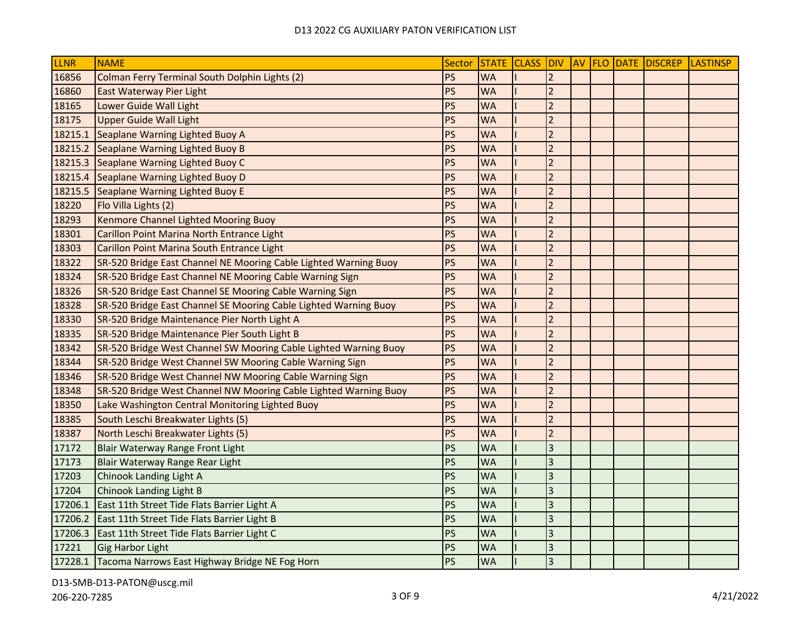| <b>LLNR</b> | <b>NAME</b>                                                      | Sector    |           |                         |  | STATE CLASS DIV AV FLO DATE DISCREP LASTINSP |  |
|-------------|------------------------------------------------------------------|-----------|-----------|-------------------------|--|----------------------------------------------|--|
| 16856       | Colman Ferry Terminal South Dolphin Lights (2)                   | PS        | <b>WA</b> | $\overline{2}$          |  |                                              |  |
| 16860       | East Waterway Pier Light                                         | <b>PS</b> | <b>WA</b> | $\overline{2}$          |  |                                              |  |
| 18165       | Lower Guide Wall Light                                           | PS        | <b>WA</b> | $\overline{2}$          |  |                                              |  |
| 18175       | <b>Upper Guide Wall Light</b>                                    | PS        | <b>WA</b> | $\overline{2}$          |  |                                              |  |
| 18215.1     | Seaplane Warning Lighted Buoy A                                  | PS        | <b>WA</b> | $\overline{2}$          |  |                                              |  |
| 18215.2     | Seaplane Warning Lighted Buoy B                                  | PS        | <b>WA</b> | $\overline{2}$          |  |                                              |  |
| 18215.3     | Seaplane Warning Lighted Buoy C                                  | PS        | <b>WA</b> | $\overline{2}$          |  |                                              |  |
| 18215.4     | Seaplane Warning Lighted Buoy D                                  | PS        | <b>WA</b> | $\overline{2}$          |  |                                              |  |
| 18215.5     | Seaplane Warning Lighted Buoy E                                  | PS        | <b>WA</b> | $\overline{2}$          |  |                                              |  |
| 18220       | Flo Villa Lights (2)                                             | PS        | <b>WA</b> | $\overline{2}$          |  |                                              |  |
| 18293       | Kenmore Channel Lighted Mooring Buoy                             | PS        | <b>WA</b> | $\overline{2}$          |  |                                              |  |
| 18301       | Carillon Point Marina North Entrance Light                       | PS        | <b>WA</b> | $\overline{2}$          |  |                                              |  |
| 18303       | Carillon Point Marina South Entrance Light                       | PS        | <b>WA</b> | $\overline{2}$          |  |                                              |  |
| 18322       | SR-520 Bridge East Channel NE Mooring Cable Lighted Warning Buoy | PS        | <b>WA</b> | $\overline{2}$          |  |                                              |  |
| 18324       | SR-520 Bridge East Channel NE Mooring Cable Warning Sign         | PS        | <b>WA</b> | $\overline{2}$          |  |                                              |  |
| 18326       | SR-520 Bridge East Channel SE Mooring Cable Warning Sign         | PS        | <b>WA</b> | $\overline{2}$          |  |                                              |  |
| 18328       | SR-520 Bridge East Channel SE Mooring Cable Lighted Warning Buoy | PS        | <b>WA</b> | $\overline{2}$          |  |                                              |  |
| 18330       | SR-520 Bridge Maintenance Pier North Light A                     | PS        | <b>WA</b> | $\overline{2}$          |  |                                              |  |
| 18335       | SR-520 Bridge Maintenance Pier South Light B                     | PS        | <b>WA</b> | $\overline{2}$          |  |                                              |  |
| 18342       | SR-520 Bridge West Channel SW Mooring Cable Lighted Warning Buoy | PS        | <b>WA</b> | $\overline{2}$          |  |                                              |  |
| 18344       | SR-520 Bridge West Channel SW Mooring Cable Warning Sign         | PS        | <b>WA</b> | $\overline{2}$          |  |                                              |  |
| 18346       | SR-520 Bridge West Channel NW Mooring Cable Warning Sign         | <b>PS</b> | <b>WA</b> | $\overline{2}$          |  |                                              |  |
| 18348       | SR-520 Bridge West Channel NW Mooring Cable Lighted Warning Buoy | <b>PS</b> | <b>WA</b> | $\overline{2}$          |  |                                              |  |
| 18350       | Lake Washington Central Monitoring Lighted Buoy                  | <b>PS</b> | <b>WA</b> | $\overline{2}$          |  |                                              |  |
| 18385       | South Leschi Breakwater Lights (5)                               | <b>PS</b> | <b>WA</b> | $\overline{2}$          |  |                                              |  |
| 18387       | North Leschi Breakwater Lights (5)                               | PS        | <b>WA</b> | $\overline{2}$          |  |                                              |  |
| 17172       | Blair Waterway Range Front Light                                 | PS        | <b>WA</b> | $\overline{\mathbf{3}}$ |  |                                              |  |
| 17173       | Blair Waterway Range Rear Light                                  | PS        | <b>WA</b> | $\overline{3}$          |  |                                              |  |
| 17203       | Chinook Landing Light A                                          | PS        | <b>WA</b> | $\overline{3}$          |  |                                              |  |
| 17204       | <b>Chinook Landing Light B</b>                                   | PS        | <b>WA</b> | $\overline{3}$          |  |                                              |  |
| 17206.1     | East 11th Street Tide Flats Barrier Light A                      | PS        | <b>WA</b> | $\overline{3}$          |  |                                              |  |
| 17206.2     | East 11th Street Tide Flats Barrier Light B                      | PS        | <b>WA</b> | $\overline{3}$          |  |                                              |  |
| 17206.3     | East 11th Street Tide Flats Barrier Light C                      | PS        | <b>WA</b> | $\overline{3}$          |  |                                              |  |
| 17221       | Gig Harbor Light                                                 | PS        | <b>WA</b> | $\overline{3}$          |  |                                              |  |
|             | 17228.1 Tacoma Narrows East Highway Bridge NE Fog Horn           | PS        | <b>WA</b> | $\overline{3}$          |  |                                              |  |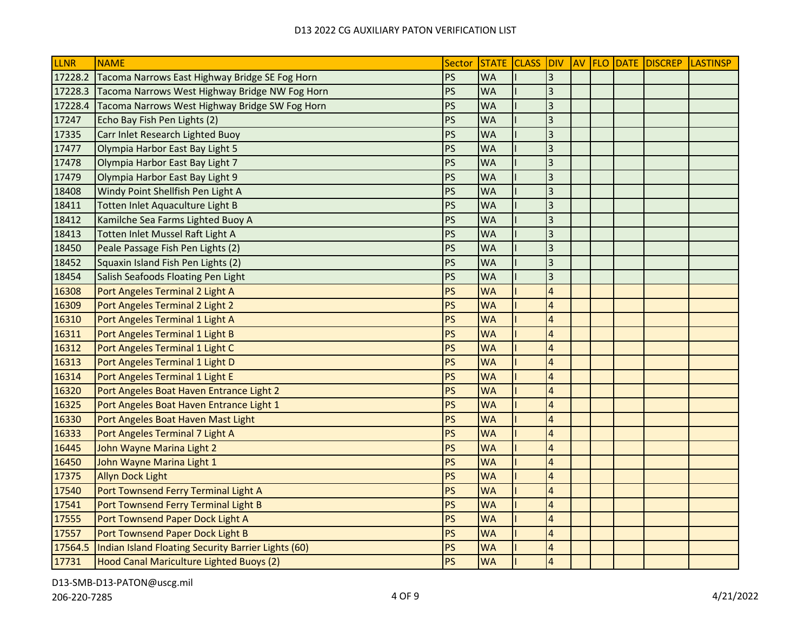| <b>LLNR</b> | <b>NAME</b>                                         | Sector    |           |                         |  | STATE CLASS DIV AV FLO DATE DISCREP LASTINSP |  |
|-------------|-----------------------------------------------------|-----------|-----------|-------------------------|--|----------------------------------------------|--|
| 17228.2     | Tacoma Narrows East Highway Bridge SE Fog Horn      | PS        | <b>WA</b> | 3                       |  |                                              |  |
| 17228.3     | Tacoma Narrows West Highway Bridge NW Fog Horn      | PS        | <b>WA</b> | $\overline{3}$          |  |                                              |  |
| 17228.4     | Tacoma Narrows West Highway Bridge SW Fog Horn      | PS        | <b>WA</b> | $\overline{3}$          |  |                                              |  |
| 17247       | Echo Bay Fish Pen Lights (2)                        | PS        | <b>WA</b> | $\overline{3}$          |  |                                              |  |
| 17335       | Carr Inlet Research Lighted Buoy                    | PS        | <b>WA</b> | $\overline{3}$          |  |                                              |  |
| 17477       | Olympia Harbor East Bay Light 5                     | PS        | <b>WA</b> | $\overline{3}$          |  |                                              |  |
| 17478       | Olympia Harbor East Bay Light 7                     | PS        | <b>WA</b> | $\overline{\mathbf{3}}$ |  |                                              |  |
| 17479       | Olympia Harbor East Bay Light 9                     | PS        | <b>WA</b> | $\overline{3}$          |  |                                              |  |
| 18408       | Windy Point Shellfish Pen Light A                   | PS        | <b>WA</b> | $\overline{3}$          |  |                                              |  |
| 18411       | Totten Inlet Aquaculture Light B                    | PS        | <b>WA</b> | $\overline{\mathbf{3}}$ |  |                                              |  |
| 18412       | Kamilche Sea Farms Lighted Buoy A                   | PS        | <b>WA</b> | $\overline{3}$          |  |                                              |  |
| 18413       | Totten Inlet Mussel Raft Light A                    | <b>PS</b> | <b>WA</b> | $\overline{3}$          |  |                                              |  |
| 18450       | Peale Passage Fish Pen Lights (2)                   | PS        | <b>WA</b> | $\overline{3}$          |  |                                              |  |
| 18452       | Squaxin Island Fish Pen Lights (2)                  | PS        | <b>WA</b> | $\overline{3}$          |  |                                              |  |
| 18454       | Salish Seafoods Floating Pen Light                  | PS        | <b>WA</b> | $\overline{3}$          |  |                                              |  |
| 16308       | Port Angeles Terminal 2 Light A                     | PS        | <b>WA</b> | $\overline{4}$          |  |                                              |  |
| 16309       | Port Angeles Terminal 2 Light 2                     | <b>PS</b> | <b>WA</b> | $\overline{4}$          |  |                                              |  |
| 16310       | Port Angeles Terminal 1 Light A                     | <b>PS</b> | <b>WA</b> | $\overline{4}$          |  |                                              |  |
| 16311       | Port Angeles Terminal 1 Light B                     | <b>PS</b> | <b>WA</b> | $\overline{a}$          |  |                                              |  |
| 16312       | Port Angeles Terminal 1 Light C                     | PS        | <b>WA</b> | $\overline{4}$          |  |                                              |  |
| 16313       | Port Angeles Terminal 1 Light D                     | PS        | <b>WA</b> | $\overline{4}$          |  |                                              |  |
| 16314       | Port Angeles Terminal 1 Light E                     | <b>PS</b> | <b>WA</b> | $\overline{a}$          |  |                                              |  |
| 16320       | Port Angeles Boat Haven Entrance Light 2            | <b>PS</b> | <b>WA</b> | $\overline{4}$          |  |                                              |  |
| 16325       | Port Angeles Boat Haven Entrance Light 1            | PS        | <b>WA</b> | $\overline{\mathbf{4}}$ |  |                                              |  |
| 16330       | Port Angeles Boat Haven Mast Light                  | PS        | <b>WA</b> | $\overline{a}$          |  |                                              |  |
| 16333       | Port Angeles Terminal 7 Light A                     | PS        | <b>WA</b> | $\overline{4}$          |  |                                              |  |
| 16445       | John Wayne Marina Light 2                           | PS        | <b>WA</b> | $\overline{A}$          |  |                                              |  |
| 16450       | John Wayne Marina Light 1                           | PS        | <b>WA</b> | $\overline{4}$          |  |                                              |  |
| 17375       | <b>Allyn Dock Light</b>                             | <b>PS</b> | <b>WA</b> | $\overline{4}$          |  |                                              |  |
| 17540       | Port Townsend Ferry Terminal Light A                | PS        | <b>WA</b> | $\overline{4}$          |  |                                              |  |
| 17541       | Port Townsend Ferry Terminal Light B                | PS        | <b>WA</b> | $\overline{4}$          |  |                                              |  |
| 17555       | Port Townsend Paper Dock Light A                    | PS        | <b>WA</b> | $\overline{a}$          |  |                                              |  |
| 17557       | Port Townsend Paper Dock Light B                    | PS        | <b>WA</b> | $\overline{4}$          |  |                                              |  |
| 17564.5     | Indian Island Floating Security Barrier Lights (60) | PS        | <b>WA</b> | $\overline{a}$          |  |                                              |  |
| 17731       | Hood Canal Mariculture Lighted Buoys (2)            | <b>PS</b> | <b>WA</b> | $\overline{4}$          |  |                                              |  |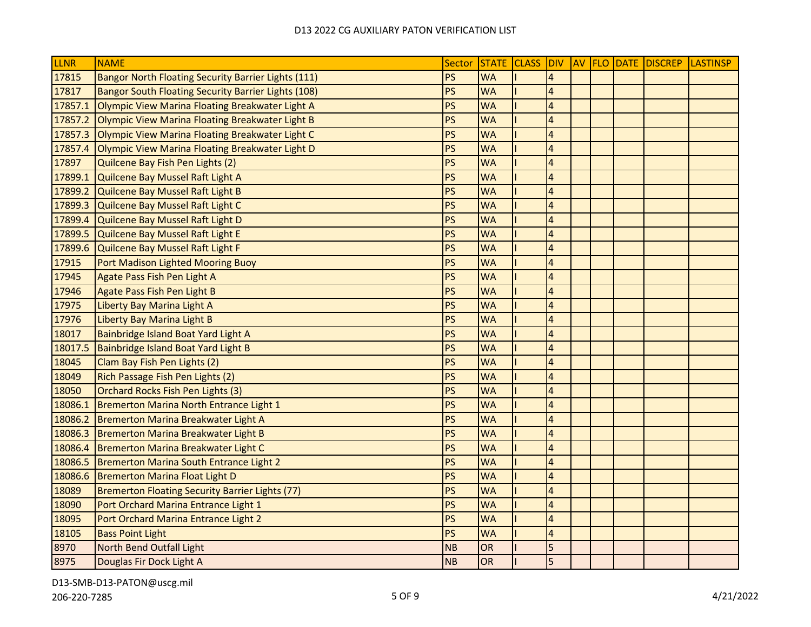| <b>LLNR</b> | <b>NAME</b>                                         | Sector    |           |                  |  | STATE CLASS DIV AV FLO DATE DISCREP LASTINSP |  |
|-------------|-----------------------------------------------------|-----------|-----------|------------------|--|----------------------------------------------|--|
| 17815       | Bangor North Floating Security Barrier Lights (111) | <b>PS</b> | <b>WA</b> | $\boldsymbol{A}$ |  |                                              |  |
| 17817       | Bangor South Floating Security Barrier Lights (108) | <b>PS</b> | <b>WA</b> | $\overline{4}$   |  |                                              |  |
| 17857.1     | Olympic View Marina Floating Breakwater Light A     | PS        | <b>WA</b> | $\overline{4}$   |  |                                              |  |
| 17857.2     | Olympic View Marina Floating Breakwater Light B     | PS        | <b>WA</b> | $\overline{4}$   |  |                                              |  |
| 17857.3     | Olympic View Marina Floating Breakwater Light C     | PS        | <b>WA</b> | $\overline{4}$   |  |                                              |  |
| 17857.4     | Olympic View Marina Floating Breakwater Light D     | PS        | <b>WA</b> | $\overline{4}$   |  |                                              |  |
| 17897       | Quilcene Bay Fish Pen Lights (2)                    | PS        | <b>WA</b> | $\overline{A}$   |  |                                              |  |
| 17899.1     | Quilcene Bay Mussel Raft Light A                    | PS        | <b>WA</b> | $\overline{4}$   |  |                                              |  |
| 17899.2     | Quilcene Bay Mussel Raft Light B                    | PS        | <b>WA</b> | $\overline{4}$   |  |                                              |  |
| 17899.3     | Quilcene Bay Mussel Raft Light C                    | PS        | <b>WA</b> | $\overline{4}$   |  |                                              |  |
| 17899.4     | Quilcene Bay Mussel Raft Light D                    | PS        | <b>WA</b> | $\overline{a}$   |  |                                              |  |
| 17899.5     | Quilcene Bay Mussel Raft Light E                    | PS        | <b>WA</b> | $\overline{4}$   |  |                                              |  |
| 17899.6     | Quilcene Bay Mussel Raft Light F                    | PS        | <b>WA</b> | $\overline{a}$   |  |                                              |  |
| 17915       | Port Madison Lighted Mooring Buoy                   | PS        | <b>WA</b> | $\overline{a}$   |  |                                              |  |
| 17945       | Agate Pass Fish Pen Light A                         | PS        | <b>WA</b> | $\overline{4}$   |  |                                              |  |
| 17946       | <b>Agate Pass Fish Pen Light B</b>                  | PS        | <b>WA</b> | $\overline{4}$   |  |                                              |  |
| 17975       | Liberty Bay Marina Light A                          | PS        | <b>WA</b> | $\overline{4}$   |  |                                              |  |
| 17976       | Liberty Bay Marina Light B                          | PS        | <b>WA</b> | $\overline{4}$   |  |                                              |  |
| 18017       | Bainbridge Island Boat Yard Light A                 | PS        | <b>WA</b> | $\overline{4}$   |  |                                              |  |
| 18017.5     | Bainbridge Island Boat Yard Light B                 | PS        | <b>WA</b> | $\overline{4}$   |  |                                              |  |
| 18045       | Clam Bay Fish Pen Lights (2)                        | PS        | <b>WA</b> | $\overline{a}$   |  |                                              |  |
| 18049       | Rich Passage Fish Pen Lights (2)                    | PS        | <b>WA</b> | $\overline{4}$   |  |                                              |  |
| 18050       | Orchard Rocks Fish Pen Lights (3)                   | PS        | <b>WA</b> | $\overline{4}$   |  |                                              |  |
| 18086.1     | Bremerton Marina North Entrance Light 1             | PS        | <b>WA</b> | $\overline{a}$   |  |                                              |  |
| 18086.2     | Bremerton Marina Breakwater Light A                 | <b>PS</b> | <b>WA</b> | $\overline{a}$   |  |                                              |  |
| 18086.3     | Bremerton Marina Breakwater Light B                 | PS        | <b>WA</b> | $\overline{a}$   |  |                                              |  |
| 18086.4     | Bremerton Marina Breakwater Light C                 | PS        | <b>WA</b> | $\overline{a}$   |  |                                              |  |
| 18086.5     | Bremerton Marina South Entrance Light 2             | PS        | <b>WA</b> | $\overline{4}$   |  |                                              |  |
| 18086.6     | <b>Bremerton Marina Float Light D</b>               | PS        | <b>WA</b> | $\overline{4}$   |  |                                              |  |
| 18089       | Bremerton Floating Security Barrier Lights (77)     | PS        | <b>WA</b> | $\overline{4}$   |  |                                              |  |
| 18090       | Port Orchard Marina Entrance Light 1                | PS        | <b>WA</b> | $\overline{a}$   |  |                                              |  |
| 18095       | Port Orchard Marina Entrance Light 2                | PS        | <b>WA</b> | $\overline{4}$   |  |                                              |  |
| 18105       | <b>Bass Point Light</b>                             | PS        | <b>WA</b> | $\overline{4}$   |  |                                              |  |
| 8970        | North Bend Outfall Light                            | <b>NB</b> | OR        | 5                |  |                                              |  |
| 8975        | Douglas Fir Dock Light A                            | <b>NB</b> | OR        | $\overline{5}$   |  |                                              |  |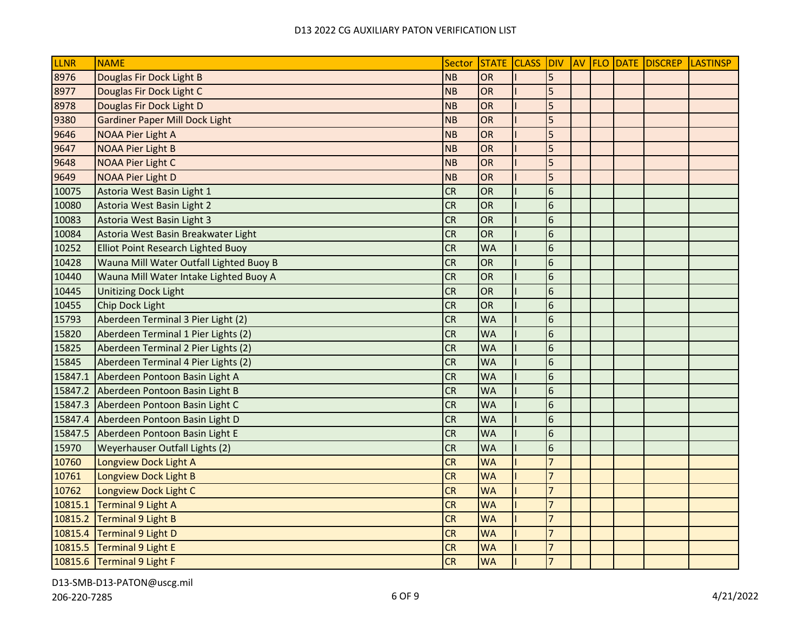| LLNR    | <b>NAME</b>                             | Sector    | STATE CLASS DIV |                 |  | AV FLO DATE DISCREP | <b>LASTINSP</b> |
|---------|-----------------------------------------|-----------|-----------------|-----------------|--|---------------------|-----------------|
| 8976    | Douglas Fir Dock Light B                | <b>NB</b> | OR              | 5               |  |                     |                 |
| 8977    | Douglas Fir Dock Light C                | <b>NB</b> | <b>OR</b>       | 5               |  |                     |                 |
| 8978    | Douglas Fir Dock Light D                | <b>NB</b> | <b>OR</b>       | 5               |  |                     |                 |
| 9380    | <b>Gardiner Paper Mill Dock Light</b>   | <b>NB</b> | OR              | 5               |  |                     |                 |
| 9646    | <b>NOAA Pier Light A</b>                | NB        | <b>OR</b>       | 5               |  |                     |                 |
| 9647    | <b>NOAA Pier Light B</b>                | <b>NB</b> | OR              | 5               |  |                     |                 |
| 9648    | <b>NOAA Pier Light C</b>                | <b>NB</b> | OR              | 5               |  |                     |                 |
| 9649    | <b>NOAA Pier Light D</b>                | <b>NB</b> | <b>OR</b>       | 5               |  |                     |                 |
| 10075   | Astoria West Basin Light 1              | <b>CR</b> | OR              | $6\phantom{1}6$ |  |                     |                 |
| 10080   | Astoria West Basin Light 2              | <b>CR</b> | <b>OR</b>       | $6\phantom{1}6$ |  |                     |                 |
| 10083   | Astoria West Basin Light 3              | CR        | <b>OR</b>       | $6\phantom{1}6$ |  |                     |                 |
| 10084   | Astoria West Basin Breakwater Light     | <b>CR</b> | <b>OR</b>       | $6\phantom{.}6$ |  |                     |                 |
| 10252   | Elliot Point Research Lighted Buoy      | <b>CR</b> | <b>WA</b>       | $6\phantom{1}6$ |  |                     |                 |
| 10428   | Wauna Mill Water Outfall Lighted Buoy B | <b>CR</b> | <b>OR</b>       | $6\phantom{1}6$ |  |                     |                 |
| 10440   | Wauna Mill Water Intake Lighted Buoy A  | <b>CR</b> | <b>OR</b>       | $6\phantom{1}6$ |  |                     |                 |
| 10445   | <b>Unitizing Dock Light</b>             | <b>CR</b> | OR              | 6               |  |                     |                 |
| 10455   | Chip Dock Light                         | <b>CR</b> | OR              | $6\phantom{1}6$ |  |                     |                 |
| 15793   | Aberdeen Terminal 3 Pier Light (2)      | <b>CR</b> | <b>WA</b>       | $6\phantom{1}6$ |  |                     |                 |
| 15820   | Aberdeen Terminal 1 Pier Lights (2)     | <b>CR</b> | <b>WA</b>       | $6\phantom{1}6$ |  |                     |                 |
| 15825   | Aberdeen Terminal 2 Pier Lights (2)     | <b>CR</b> | <b>WA</b>       | $6\phantom{.}6$ |  |                     |                 |
| 15845   | Aberdeen Terminal 4 Pier Lights (2)     | <b>CR</b> | <b>WA</b>       | $6\phantom{1}6$ |  |                     |                 |
| 15847.1 | Aberdeen Pontoon Basin Light A          | <b>CR</b> | <b>WA</b>       | $6\phantom{1}6$ |  |                     |                 |
| 15847.2 | Aberdeen Pontoon Basin Light B          | <b>CR</b> | <b>WA</b>       | $6\phantom{1}6$ |  |                     |                 |
| 15847.3 | Aberdeen Pontoon Basin Light C          | <b>CR</b> | <b>WA</b>       | $6\phantom{.}6$ |  |                     |                 |
| 15847.4 | Aberdeen Pontoon Basin Light D          | <b>CR</b> | <b>WA</b>       | $6\phantom{1}6$ |  |                     |                 |
| 15847.5 | Aberdeen Pontoon Basin Light E          | <b>CR</b> | <b>WA</b>       | 6               |  |                     |                 |
| 15970   | Weyerhauser Outfall Lights (2)          | <b>CR</b> | <b>WA</b>       | 6               |  |                     |                 |
| 10760   | Longview Dock Light A                   | <b>CR</b> | <b>WA</b>       | $\overline{7}$  |  |                     |                 |
| 10761   | Longview Dock Light B                   | <b>CR</b> | <b>WA</b>       | $\overline{7}$  |  |                     |                 |
| 10762   | Longview Dock Light C                   | <b>CR</b> | <b>WA</b>       | $\overline{7}$  |  |                     |                 |
| 10815.1 | Terminal 9 Light A                      | <b>CR</b> | <b>WA</b>       | $\overline{7}$  |  |                     |                 |
| 10815.2 | Terminal 9 Light B                      | <b>CR</b> | <b>WA</b>       | $\overline{7}$  |  |                     |                 |
| 10815.4 | Terminal 9 Light D                      | <b>CR</b> | <b>WA</b>       | $\overline{7}$  |  |                     |                 |
| 10815.5 | Terminal 9 Light E                      | <b>CR</b> | <b>WA</b>       | $\overline{7}$  |  |                     |                 |
|         | 10815.6 Terminal 9 Light F              | <b>CR</b> | <b>WA</b>       | $\overline{7}$  |  |                     |                 |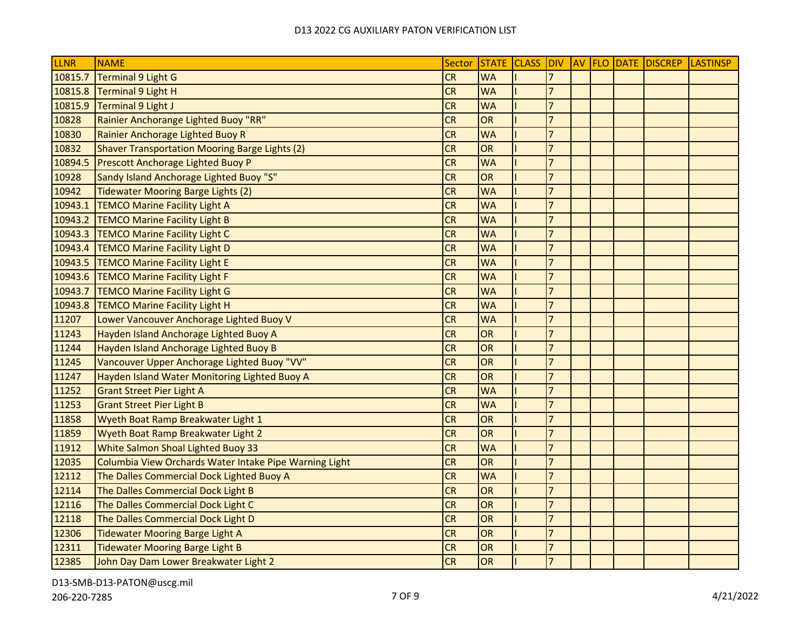| LLNR    | <b>NAME</b>                                            | Sector    |           |                |  | STATE CLASS DIV AV FLO DATE DISCREP | <b>LASTINSP</b> |
|---------|--------------------------------------------------------|-----------|-----------|----------------|--|-------------------------------------|-----------------|
| 10815.7 | <b>Terminal 9 Light G</b>                              | CR        | <b>WA</b> |                |  |                                     |                 |
| 10815.8 | <b>Terminal 9 Light H</b>                              | <b>CR</b> | <b>WA</b> | $\overline{7}$ |  |                                     |                 |
| 10815.9 | <b>Terminal 9 Light J</b>                              | <b>CR</b> | <b>WA</b> | $\overline{7}$ |  |                                     |                 |
| 10828   | Rainier Anchorange Lighted Buoy "RR"                   | <b>CR</b> | OR        | $\overline{7}$ |  |                                     |                 |
| 10830   | Rainier Anchorage Lighted Buoy R                       | <b>CR</b> | <b>WA</b> | $\overline{7}$ |  |                                     |                 |
| 10832   | <b>Shaver Transportation Mooring Barge Lights (2)</b>  | <b>CR</b> | OR        | $\overline{7}$ |  |                                     |                 |
| 10894.5 | Prescott Anchorage Lighted Buoy P                      | <b>CR</b> | <b>WA</b> | $\overline{7}$ |  |                                     |                 |
| 10928   | Sandy Island Anchorage Lighted Buoy "S"                | <b>CR</b> | OR        | $\overline{7}$ |  |                                     |                 |
| 10942   | <b>Tidewater Mooring Barge Lights (2)</b>              | <b>CR</b> | <b>WA</b> | $\overline{7}$ |  |                                     |                 |
| 10943.1 | <b>TEMCO Marine Facility Light A</b>                   | <b>CR</b> | <b>WA</b> | $\overline{7}$ |  |                                     |                 |
| 10943.2 | <b>TEMCO Marine Facility Light B</b>                   | <b>CR</b> | <b>WA</b> | $\overline{7}$ |  |                                     |                 |
| 10943.3 | <b>TEMCO Marine Facility Light C</b>                   | <b>CR</b> | <b>WA</b> | $\overline{7}$ |  |                                     |                 |
| 10943.4 | <b>TEMCO Marine Facility Light D</b>                   | <b>CR</b> | <b>WA</b> | $\overline{7}$ |  |                                     |                 |
| 10943.5 | <b>TEMCO Marine Facility Light E</b>                   | CR        | <b>WA</b> | $\overline{7}$ |  |                                     |                 |
| 10943.6 | <b>TEMCO Marine Facility Light F</b>                   | <b>CR</b> | <b>WA</b> | $\overline{7}$ |  |                                     |                 |
| 10943.7 | <b>TEMCO Marine Facility Light G</b>                   | <b>CR</b> | <b>WA</b> | $\overline{7}$ |  |                                     |                 |
| 10943.8 | <b>TEMCO Marine Facility Light H</b>                   | <b>CR</b> | <b>WA</b> | $\overline{7}$ |  |                                     |                 |
| 11207   | Lower Vancouver Anchorage Lighted Buoy V               | <b>CR</b> | <b>WA</b> | $\overline{7}$ |  |                                     |                 |
| 11243   | Hayden Island Anchorage Lighted Buoy A                 | <b>CR</b> | OR        | $\overline{7}$ |  |                                     |                 |
| 11244   | Hayden Island Anchorage Lighted Buoy B                 | <b>CR</b> | OR        | $\overline{7}$ |  |                                     |                 |
| 11245   | Vancouver Upper Anchorage Lighted Buoy "VV"            | <b>CR</b> | OR        | $\overline{7}$ |  |                                     |                 |
| 11247   | Hayden Island Water Monitoring Lighted Buoy A          | <b>CR</b> | OR        | $\overline{7}$ |  |                                     |                 |
| 11252   | <b>Grant Street Pier Light A</b>                       | CR        | <b>WA</b> | $\overline{7}$ |  |                                     |                 |
| 11253   | <b>Grant Street Pier Light B</b>                       | CR        | <b>WA</b> | $\overline{7}$ |  |                                     |                 |
| 11858   | Wyeth Boat Ramp Breakwater Light 1                     | <b>CR</b> | OR        | $\overline{7}$ |  |                                     |                 |
| 11859   | Wyeth Boat Ramp Breakwater Light 2                     | <b>CR</b> | OR        | $\overline{7}$ |  |                                     |                 |
| 11912   | White Salmon Shoal Lighted Buoy 33                     | <b>CR</b> | <b>WA</b> | $\overline{7}$ |  |                                     |                 |
| 12035   | Columbia View Orchards Water Intake Pipe Warning Light | <b>CR</b> | OR        | $\overline{7}$ |  |                                     |                 |
| 12112   | The Dalles Commercial Dock Lighted Buoy A              | <b>CR</b> | <b>WA</b> | $\overline{7}$ |  |                                     |                 |
| 12114   | The Dalles Commercial Dock Light B                     | <b>CR</b> | OR        | $\overline{7}$ |  |                                     |                 |
| 12116   | The Dalles Commercial Dock Light C                     | <b>CR</b> | OR        | $\overline{7}$ |  |                                     |                 |
| 12118   | The Dalles Commercial Dock Light D                     | <b>CR</b> | <b>OR</b> | $\overline{7}$ |  |                                     |                 |
| 12306   | <b>Tidewater Mooring Barge Light A</b>                 | <b>CR</b> | OR        | $\overline{7}$ |  |                                     |                 |
| 12311   | <b>Tidewater Mooring Barge Light B</b>                 | <b>CR</b> | OR        | $\overline{7}$ |  |                                     |                 |
| 12385   | John Day Dam Lower Breakwater Light 2                  | <b>CR</b> | OR        | $\overline{7}$ |  |                                     |                 |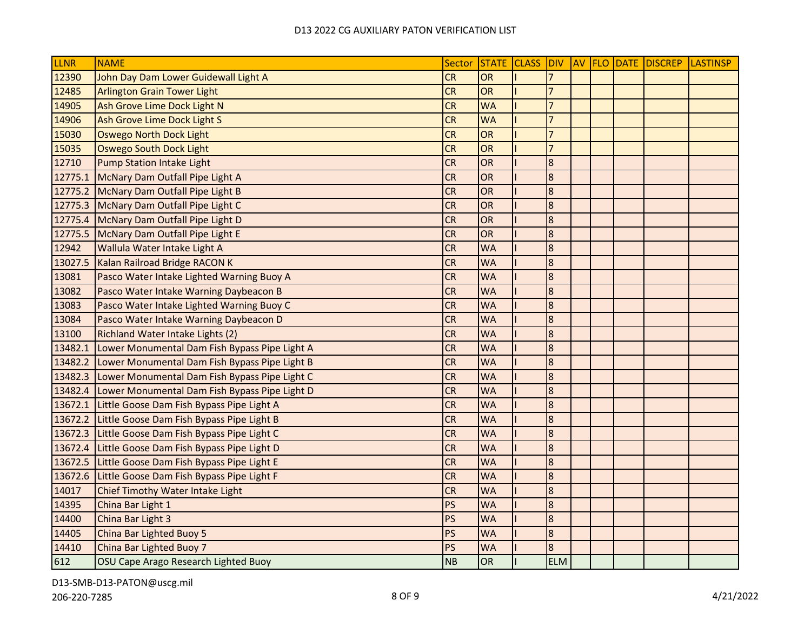| <b>LLNR</b> | <b>NAME</b>                                   | Sector    |           |                  |  | STATE CLASS DIV AV FLO DATE DISCREP LASTINSP |  |
|-------------|-----------------------------------------------|-----------|-----------|------------------|--|----------------------------------------------|--|
| 12390       | John Day Dam Lower Guidewall Light A          | <b>CR</b> | <b>OR</b> | $\overline{7}$   |  |                                              |  |
| 12485       | <b>Arlington Grain Tower Light</b>            | <b>CR</b> | <b>OR</b> | $\overline{7}$   |  |                                              |  |
| 14905       | Ash Grove Lime Dock Light N                   | <b>CR</b> | <b>WA</b> | $\overline{7}$   |  |                                              |  |
| 14906       | Ash Grove Lime Dock Light S                   | <b>CR</b> | <b>WA</b> | $\overline{7}$   |  |                                              |  |
| 15030       | <b>Oswego North Dock Light</b>                | <b>CR</b> | <b>OR</b> | $\overline{7}$   |  |                                              |  |
| 15035       | <b>Oswego South Dock Light</b>                | <b>CR</b> | <b>OR</b> | $\overline{7}$   |  |                                              |  |
| 12710       | Pump Station Intake Light                     | <b>CR</b> | <b>OR</b> | 8                |  |                                              |  |
| 12775.1     | McNary Dam Outfall Pipe Light A               | <b>CR</b> | <b>OR</b> | 8                |  |                                              |  |
| 12775.2     | McNary Dam Outfall Pipe Light B               | <b>CR</b> | <b>OR</b> | $\boldsymbol{8}$ |  |                                              |  |
| 12775.3     | McNary Dam Outfall Pipe Light C               | <b>CR</b> | <b>OR</b> | $\overline{8}$   |  |                                              |  |
| 12775.4     | McNary Dam Outfall Pipe Light D               | <b>CR</b> | <b>OR</b> | $\boldsymbol{8}$ |  |                                              |  |
| 12775.5     | McNary Dam Outfall Pipe Light E               | <b>CR</b> | OR        | $\boldsymbol{8}$ |  |                                              |  |
| 12942       | Wallula Water Intake Light A                  | <b>CR</b> | <b>WA</b> | $\boldsymbol{8}$ |  |                                              |  |
| 13027.5     | Kalan Railroad Bridge RACON K                 | <b>CR</b> | <b>WA</b> | $\boldsymbol{8}$ |  |                                              |  |
| 13081       | Pasco Water Intake Lighted Warning Buoy A     | <b>CR</b> | <b>WA</b> | $\bf{8}$         |  |                                              |  |
| 13082       | Pasco Water Intake Warning Daybeacon B        | <b>CR</b> | <b>WA</b> | $\overline{8}$   |  |                                              |  |
| 13083       | Pasco Water Intake Lighted Warning Buoy C     | <b>CR</b> | <b>WA</b> | $\boldsymbol{8}$ |  |                                              |  |
| 13084       | Pasco Water Intake Warning Daybeacon D        | <b>CR</b> | <b>WA</b> | $\boldsymbol{8}$ |  |                                              |  |
| 13100       | Richland Water Intake Lights (2)              | <b>CR</b> | <b>WA</b> | $\boldsymbol{8}$ |  |                                              |  |
| 13482.1     | Lower Monumental Dam Fish Bypass Pipe Light A | <b>CR</b> | <b>WA</b> | $\boldsymbol{8}$ |  |                                              |  |
| 13482.2     | Lower Monumental Dam Fish Bypass Pipe Light B | <b>CR</b> | <b>WA</b> | $\boldsymbol{8}$ |  |                                              |  |
| 13482.3     | Lower Monumental Dam Fish Bypass Pipe Light C | <b>CR</b> | <b>WA</b> | $\boldsymbol{8}$ |  |                                              |  |
| 13482.4     | Lower Monumental Dam Fish Bypass Pipe Light D | <b>CR</b> | <b>WA</b> | $\boldsymbol{8}$ |  |                                              |  |
| 13672.1     | Little Goose Dam Fish Bypass Pipe Light A     | <b>CR</b> | <b>WA</b> | $\boldsymbol{8}$ |  |                                              |  |
| 13672.2     | Little Goose Dam Fish Bypass Pipe Light B     | <b>CR</b> | <b>WA</b> | $\boldsymbol{8}$ |  |                                              |  |
| 13672.3     | Little Goose Dam Fish Bypass Pipe Light C     | <b>CR</b> | <b>WA</b> | $\boldsymbol{8}$ |  |                                              |  |
| 13672.4     | Little Goose Dam Fish Bypass Pipe Light D     | <b>CR</b> | <b>WA</b> | $\boldsymbol{8}$ |  |                                              |  |
| 13672.5     | Little Goose Dam Fish Bypass Pipe Light E     | <b>CR</b> | <b>WA</b> | $\overline{8}$   |  |                                              |  |
| 13672.6     | Little Goose Dam Fish Bypass Pipe Light F     | <b>CR</b> | <b>WA</b> | $\boldsymbol{8}$ |  |                                              |  |
| 14017       | Chief Timothy Water Intake Light              | <b>CR</b> | <b>WA</b> | $\boldsymbol{8}$ |  |                                              |  |
| 14395       | China Bar Light 1                             | PS        | <b>WA</b> | $\boldsymbol{8}$ |  |                                              |  |
| 14400       | China Bar Light 3                             | PS        | <b>WA</b> | 8                |  |                                              |  |
| 14405       | China Bar Lighted Buoy 5                      | PS        | <b>WA</b> | $\bf{8}$         |  |                                              |  |
| 14410       | China Bar Lighted Buoy 7                      | <b>PS</b> | <b>WA</b> | $\overline{8}$   |  |                                              |  |
| 612         | OSU Cape Arago Research Lighted Buoy          | <b>NB</b> | OR        | <b>ELM</b>       |  |                                              |  |